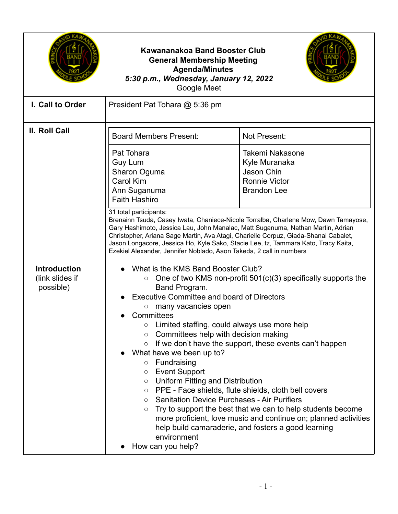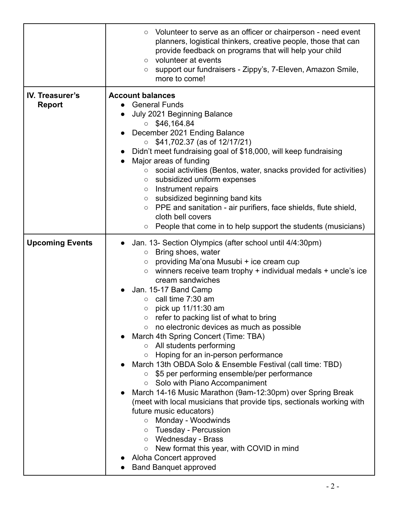|                                         | Volunteer to serve as an officer or chairperson - need event<br>О<br>planners, logistical thinkers, creative people, those that can<br>provide feedback on programs that will help your child<br>volunteer at events<br>$\circ$<br>support our fundraisers - Zippy's, 7-Eleven, Amazon Smile,<br>$\circ$<br>more to come!                                                                                                                                                                                                                                                                                                                                                                                                                                                                                                                                                                                                                                                                                                                                                                                                                          |
|-----------------------------------------|----------------------------------------------------------------------------------------------------------------------------------------------------------------------------------------------------------------------------------------------------------------------------------------------------------------------------------------------------------------------------------------------------------------------------------------------------------------------------------------------------------------------------------------------------------------------------------------------------------------------------------------------------------------------------------------------------------------------------------------------------------------------------------------------------------------------------------------------------------------------------------------------------------------------------------------------------------------------------------------------------------------------------------------------------------------------------------------------------------------------------------------------------|
| <b>IV. Treasurer's</b><br><b>Report</b> | <b>Account balances</b><br><b>General Funds</b><br>July 2021 Beginning Balance<br>$\circ$ \$46,164.84<br>December 2021 Ending Balance<br>\$41,702.37 (as of 12/17/21)<br>$\bigcirc$<br>• Didn't meet fundraising goal of \$18,000, will keep fundraising<br>Major areas of funding<br>social activities (Bentos, water, snacks provided for activities)<br>$\circ$<br>subsidized uniform expenses<br>$\circ$<br>Instrument repairs<br>$\circ$<br>subsidized beginning band kits<br>$\bigcirc$<br>PPE and sanitation - air purifiers, face shields, flute shield,<br>$\circ$<br>cloth bell covers<br>People that come in to help support the students (musicians)<br>$\circ$                                                                                                                                                                                                                                                                                                                                                                                                                                                                        |
| <b>Upcoming Events</b>                  | Jan. 13- Section Olympics (after school until 4/4:30pm)<br>Bring shoes, water<br>$\bigcirc$<br>providing Ma'ona Musubi + ice cream cup<br>$\bigcirc$<br>winners receive team trophy + individual medals + uncle's ice<br>$\circ$<br>cream sandwiches<br>Jan. 15-17 Band Camp<br>call time 7:30 am<br>$\circ$<br>pick up 11/11:30 am<br>О<br>refer to packing list of what to bring<br>О<br>no electronic devices as much as possible<br>$\bigcirc$<br>March 4th Spring Concert (Time: TBA)<br>All students performing<br>$\circ$<br>Hoping for an in-person performance<br>$\bigcirc$<br>March 13th OBDA Solo & Ensemble Festival (call time: TBD)<br>\$5 per performing ensemble/per performance<br>Solo with Piano Accompaniment<br>$\circ$<br>March 14-16 Music Marathon (9am-12:30pm) over Spring Break<br>(meet with local musicians that provide tips, sectionals working with<br>future music educators)<br>Monday - Woodwinds<br>$\circ$<br><b>Tuesday - Percussion</b><br>О<br><b>Wednesday - Brass</b><br>$\bigcirc$<br>New format this year, with COVID in mind<br>$\bigcirc$<br>Aloha Concert approved<br><b>Band Banquet approved</b> |